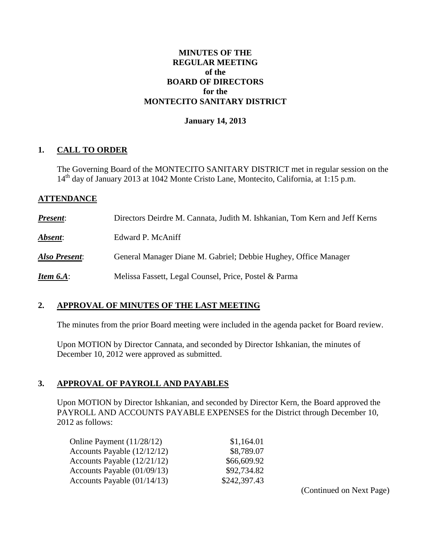#### **MINUTES OF THE REGULAR MEETING of the BOARD OF DIRECTORS for the MONTECITO SANITARY DISTRICT**

#### **January 14, 2013**

#### **1. CALL TO ORDER**

The Governing Board of the MONTECITO SANITARY DISTRICT met in regular session on the  $14<sup>th</sup>$  day of January 2013 at 1042 Monte Cristo Lane, Montecito, California, at 1:15 p.m.

#### **ATTENDANCE**

| <b>Present:</b>  | Directors Deirdre M. Cannata, Judith M. Ishkanian, Tom Kern and Jeff Kerns |
|------------------|----------------------------------------------------------------------------|
| Absent:          | Edward P. McAniff                                                          |
| Also Present:    | General Manager Diane M. Gabriel; Debbie Hughey, Office Manager            |
| <b>Item 6.A:</b> | Melissa Fassett, Legal Counsel, Price, Postel & Parma                      |

#### **2. APPROVAL OF MINUTES OF THE LAST MEETING**

The minutes from the prior Board meeting were included in the agenda packet for Board review.

Upon MOTION by Director Cannata, and seconded by Director Ishkanian, the minutes of December 10, 2012 were approved as submitted.

### **3. APPROVAL OF PAYROLL AND PAYABLES**

Upon MOTION by Director Ishkanian, and seconded by Director Kern, the Board approved the PAYROLL AND ACCOUNTS PAYABLE EXPENSES for the District through December 10, 2012 as follows:

| Online Payment (11/28/12)   | \$1,164.01   |
|-----------------------------|--------------|
| Accounts Payable (12/12/12) | \$8,789.07   |
| Accounts Payable (12/21/12) | \$66,609.92  |
| Accounts Payable (01/09/13) | \$92,734.82  |
| Accounts Payable (01/14/13) | \$242,397.43 |
|                             |              |

(Continued on Next Page)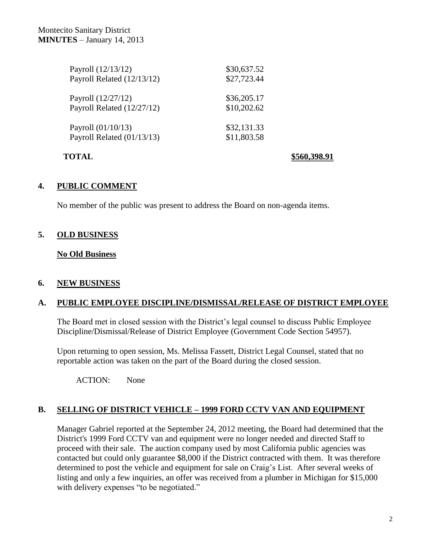| Payroll (12/13/12)         | \$30,637.52 |
|----------------------------|-------------|
| Payroll Related (12/13/12) | \$27,723.44 |
| Payroll (12/27/12)         | \$36,205.17 |
| Payroll Related (12/27/12) | \$10,202.62 |
| Payroll (01/10/13)         | \$32,131.33 |
| Payroll Related (01/13/13) | \$11,803.58 |
|                            |             |

**TOTAL \$560,398.91**

# **4. PUBLIC COMMENT**

No member of the public was present to address the Board on non-agenda items.

# **5. OLD BUSINESS**

**No Old Business**

### **6. NEW BUSINESS**

### **A. PUBLIC EMPLOYEE DISCIPLINE/DISMISSAL/RELEASE OF DISTRICT EMPLOYEE**

The Board met in closed session with the District's legal counsel to discuss Public Employee Discipline/Dismissal/Release of District Employee (Government Code Section 54957).

Upon returning to open session, Ms. Melissa Fassett, District Legal Counsel, stated that no reportable action was taken on the part of the Board during the closed session.

ACTION: None

# **B. SELLING OF DISTRICT VEHICLE – 1999 FORD CCTV VAN AND EQUIPMENT**

Manager Gabriel reported at the September 24, 2012 meeting, the Board had determined that the District's 1999 Ford CCTV van and equipment were no longer needed and directed Staff to proceed with their sale. The auction company used by most California public agencies was contacted but could only guarantee \$8,000 if the District contracted with them. It was therefore determined to post the vehicle and equipment for sale on Craig's List. After several weeks of listing and only a few inquiries, an offer was received from a plumber in Michigan for \$15,000 with delivery expenses "to be negotiated."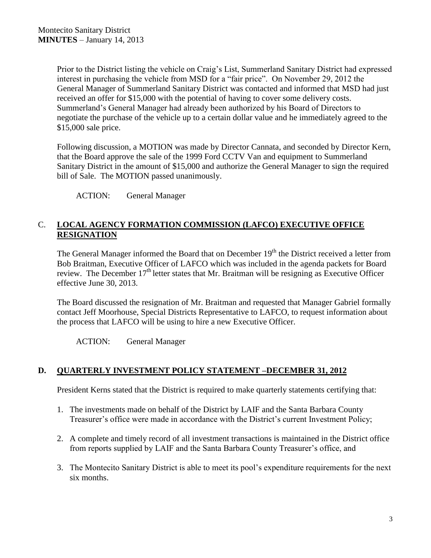Prior to the District listing the vehicle on Craig's List, Summerland Sanitary District had expressed interest in purchasing the vehicle from MSD for a "fair price". On November 29, 2012 the General Manager of Summerland Sanitary District was contacted and informed that MSD had just received an offer for \$15,000 with the potential of having to cover some delivery costs. Summerland's General Manager had already been authorized by his Board of Directors to negotiate the purchase of the vehicle up to a certain dollar value and he immediately agreed to the \$15,000 sale price.

Following discussion, a MOTION was made by Director Cannata, and seconded by Director Kern, that the Board approve the sale of the 1999 Ford CCTV Van and equipment to Summerland Sanitary District in the amount of \$15,000 and authorize the General Manager to sign the required bill of Sale. The MOTION passed unanimously.

ACTION: General Manager

# C. **LOCAL AGENCY FORMATION COMMISSION (LAFCO) EXECUTIVE OFFICE RESIGNATION**

The General Manager informed the Board that on December 19<sup>th</sup> the District received a letter from Bob Braitman, Executive Officer of LAFCO which was included in the agenda packets for Board review. The December  $17<sup>th</sup>$  letter states that Mr. Braitman will be resigning as Executive Officer effective June 30, 2013.

The Board discussed the resignation of Mr. Braitman and requested that Manager Gabriel formally contact Jeff Moorhouse, Special Districts Representative to LAFCO, to request information about the process that LAFCO will be using to hire a new Executive Officer.

ACTION: General Manager

### **D. QUARTERLY INVESTMENT POLICY STATEMENT –DECEMBER 31, 2012**

President Kerns stated that the District is required to make quarterly statements certifying that:

- 1. The investments made on behalf of the District by LAIF and the Santa Barbara County Treasurer's office were made in accordance with the District's current Investment Policy;
- 2. A complete and timely record of all investment transactions is maintained in the District office from reports supplied by LAIF and the Santa Barbara County Treasurer's office, and
- 3. The Montecito Sanitary District is able to meet its pool's expenditure requirements for the next six months.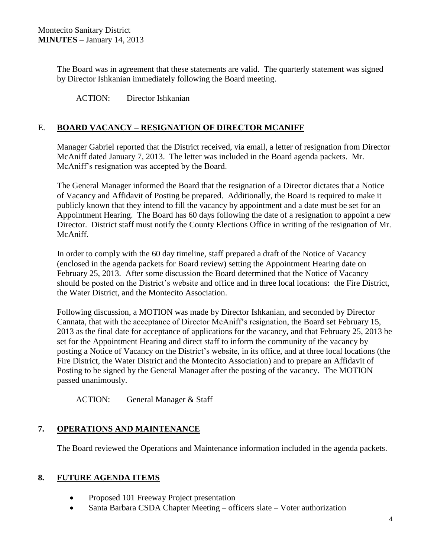The Board was in agreement that these statements are valid. The quarterly statement was signed by Director Ishkanian immediately following the Board meeting.

ACTION: Director Ishkanian

## E. **BOARD VACANCY – RESIGNATION OF DIRECTOR MCANIFF**

Manager Gabriel reported that the District received, via email, a letter of resignation from Director McAniff dated January 7, 2013. The letter was included in the Board agenda packets. Mr. McAniff's resignation was accepted by the Board.

The General Manager informed the Board that the resignation of a Director dictates that a Notice of Vacancy and Affidavit of Posting be prepared. Additionally, the Board is required to make it publicly known that they intend to fill the vacancy by appointment and a date must be set for an Appointment Hearing. The Board has 60 days following the date of a resignation to appoint a new Director. District staff must notify the County Elections Office in writing of the resignation of Mr. McAniff.

In order to comply with the 60 day timeline, staff prepared a draft of the Notice of Vacancy (enclosed in the agenda packets for Board review) setting the Appointment Hearing date on February 25, 2013. After some discussion the Board determined that the Notice of Vacancy should be posted on the District's website and office and in three local locations: the Fire District, the Water District, and the Montecito Association.

Following discussion, a MOTION was made by Director Ishkanian, and seconded by Director Cannata, that with the acceptance of Director McAniff's resignation, the Board set February 15, 2013 as the final date for acceptance of applications for the vacancy, and that February 25, 2013 be set for the Appointment Hearing and direct staff to inform the community of the vacancy by posting a Notice of Vacancy on the District's website, in its office, and at three local locations (the Fire District, the Water District and the Montecito Association) and to prepare an Affidavit of Posting to be signed by the General Manager after the posting of the vacancy. The MOTION passed unanimously.

ACTION: General Manager & Staff

### **7. OPERATIONS AND MAINTENANCE**

The Board reviewed the Operations and Maintenance information included in the agenda packets.

### **8. FUTURE AGENDA ITEMS**

- Proposed 101 Freeway Project presentation
- Santa Barbara CSDA Chapter Meeting officers slate Voter authorization